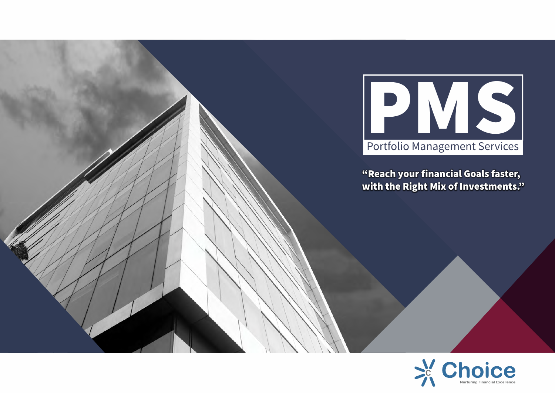

**"Reach your financial Goals faster, with the Right Mix of Investments."**

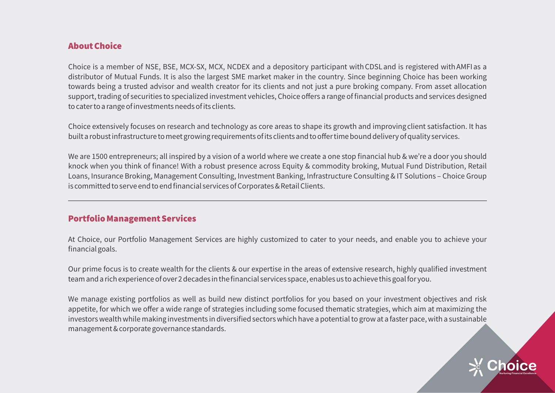# **About Choice**

Choice is a member of NSE, BSE, MCX-SX, MCX, NCDEX and a depository participant with CDSL and is registered with AMFI as a distributor of Mutual Funds. It is also the largest SME market maker in the country. Since beginning Choice has been working towards being a trusted advisor and wealth creator for its clients and not just a pure broking company. From asset allocation support, trading of securities to specialized investment vehicles, Choice offers a range of financial products and services designed to cater to a range of investments needs of its clients.

Choice extensively focuses on research and technology as core areas to shape its growth and improving client satisfaction. It has built a robust infrastructure to meet growing requirements of its clients and to offer time bound delivery of quality services.

We are 1500 entrepreneurs; all inspired by a vision of a world where we create a one stop financial hub & we're a door you should knock when you think of finance! With a robust presence across Equity & commodity broking, Mutual Fund Distribution, Retail Loans, Insurance Broking, Management Consulting, Investment Banking, Infrastructure Consulting & IT Solutions – Choice Group is committed to serve end to end financial services of Corporates & Retail Clients.

# **Portfolio Management Services**

At Choice, our Portfolio Management Services are highly customized to cater to your needs, and enable you to achieve your financial goals.

Our prime focus is to create wealth for the clients & our expertise in the areas of extensive research, highly qualified investment team and a rich experience of over 2 decades in the financial services space, enables us to achieve this goal for you.

We manage existing portfolios as well as build new distinct portfolios for you based on your investment objectives and risk appetite, for which we offer a wide range of strategies including some focused thematic strategies, which aim at maximizing the investors wealth while making investments in diversified sectors which have a potential to grow at a faster pace, with a sustainable management & corporate governance standards.

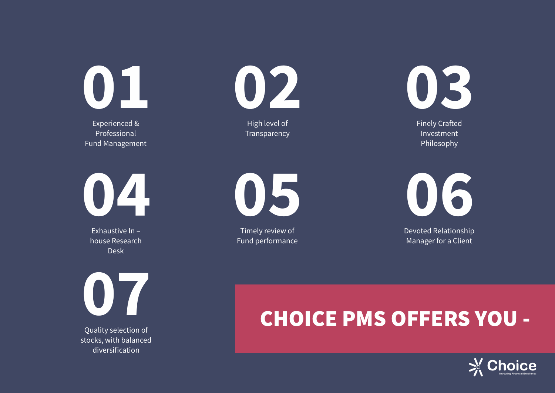**01**

Experienced & Professional Fund Management **02**

High level of Transparency **03**

**Finely Crafted** Investment Philosophy

**04**

Exhaustive In – house Research Desk

**07**

Quality selection of stocks, with balanced diversification



Timely review of Fund performance



Devoted Relationship Manager for a Client

# **CHOICE PMS OFFERS YOU -**

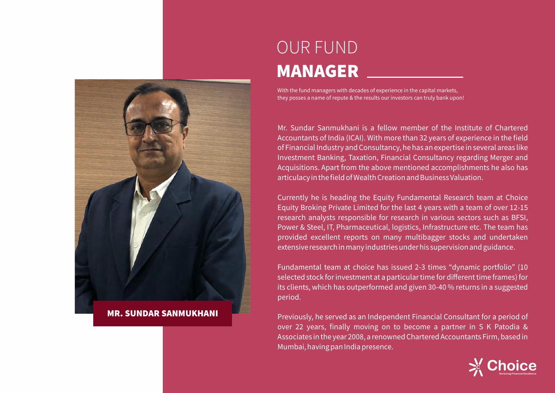

#### **MR. SUNDAR SANMUKHANI**

# OUR FUND **MANAGER**

With the fund managers with decades of experience in the capital markets, they posses a name of repute & the results our investors can truly bank upon!

Mr. Sundar Sanmukhani is a fellow member of the Institute of Chartered Accountants of India (ICAI). With more than 32 years of experience in the field of Financial Industry and Consultancy, he has an expertise in several areas like Investment Banking, Taxation, Financial Consultancy regarding Merger and Acquisitions. Apart from the above mentioned accomplishments he also has articulacy in the field of Wealth Creation and Business Valuation.

Currently he is heading the Equity Fundamental Research team at Choice Equity Broking Private Limited for the last 4 years with a team of over 12-15 research analysts responsible for research in various sectors such as BFSI, Power & Steel, IT, Pharmaceutical, logistics, Infrastructure etc. The team has provided excellent reports on many multibagger stocks and undertaken extensive research in many industries under his supervision and guidance.

Fundamental team at choice has issued 2-3 times "dynamic portfolio" (10 selected stock for investment at a particular time for different time frames) for its clients, which has outperformed and given 30-40 % returns in a suggested period.

Previously, he served as an Independent Financial Consultant for a period of over 22 years, finally moving on to become a partner in S K Patodia & Associates in the year 2008, a renowned Chartered Accountants Firm, based in Mumbai, having pan India presence.

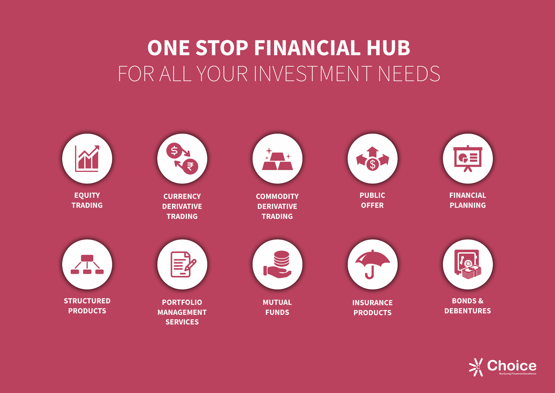# **ONE STOP FINANCIAL HUB** FOR ALL YOUR INVESTMENT NEEDS



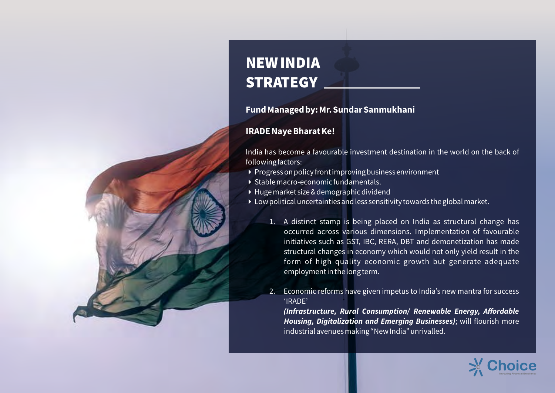# **NEW INDIA STRATEGY**

# **Fund Managed by: Mr. Sundar Sanmukhani**

# **IRADE Naye Bharat Ke!**

India has become a favourable investment destination in the world on the back of following factors:

- $\rightarrow$  Progress on policy front improving business environment
- 4 Stable macro-economic fundamentals.
- 4 Huge market size & demographic dividend
- 4 Low political uncertainties and less sensitivity towards the global market.
	- 1. A distinct stamp is being placed on India as structural change has occurred across various dimensions. Implementation of favourable initiatives such as GST, IBC, RERA, DBT and demonetization has made structural changes in economy which would not only yield result in the form of high quality economic growth but generate adequate employment in the long term.
	- 2. Economic reforms have given impetus to India's new mantra for success 'IRADE'

 **(Infrastructure, Rural Consumption/ Renewable Energy, Affordable Housing, Digitalization and Emerging Businesses)**; will flourish more industrial avenues making "New India" unrivalled.

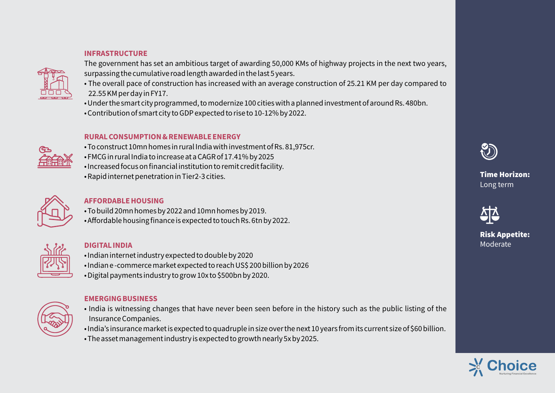#### **INFRASTRUCTURE**



The government has set an ambitious target of awarding 50,000 KMs of highway projects in the next two years, surpassing the cumulative road length awarded in the last 5 years.

- The overall pace of construction has increased with an average construction of 25.21 KM per day compared to 22.55 KM per day in FY17.
- Under the smart city programmed, to modernize 100 cities with a planned investment of around Rs. 480bn.
- Contribution of smart city to GDP expected to rise to 10-12% by 2022.

#### **RURAL CONSUMPTION & RENEWABLE ENERGY**

- To construct 10mn homes in rural India with investment of Rs. 81,975cr.
- FMCG in rural India to increase at a CAGR of 17.41% by 2025
- Increased focus on financial institution to remit credit facility.
- Rapid internet penetration in Tier2-3 cities.



### **AFFORDABLE HOUSING**

- To build 20mn homes by 2022 and 10mn homes by 2019.
- Affordable housing finance is expected to touch Rs. 6tn by 2022.



## **DIGITAL INDIA**

- Indian internet industry expected to double by 2020
- Indian e -commerce market expected to reach US\$ 200 billion by 2026
- Digital payments industry to grow 10x to \$500bn by 2020.



### **EMERGING BUSINESS**

- India is witnessing changes that have never been seen before in the history such as the public listing of the Insurance Companies.
- India's insurance market is expected to quadruple in size over the next 10 years from its current size of \$60 billion. • The asset management industry is expected to growth nearly 5x by 2025.



# **Time Horizon:** Long term



# **Risk Appetite:** Moderate

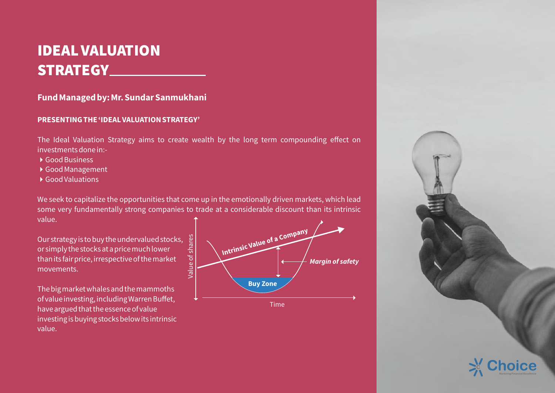# **IDEAL VALUATION STRATEGY**

# **Fund Managed by: Mr. Sundar Sanmukhani**

### **PRESENTING THE 'IDEAL VALUATION STRATEGY'**

The Ideal Valuation Strategy aims to create wealth by the long term compounding effect on investments done in:-

- ▶ Good Business
- ▶ Good Management
- ▶ Good Valuations

We seek to capitalize the opportunities that come up in the emotionally driven markets, which lead some very fundamentally strong companies to trade at a considerable discount than its intrinsic value.

Our strategy is to buy the undervalued stocks, or simply the stocks at a price much lower than its fair price, irrespective of the market movements.

The big market whales and the mammoths of value investing, including Warren Buffet, have argued that the essence of value investing is buying stocks below its intrinsic value.



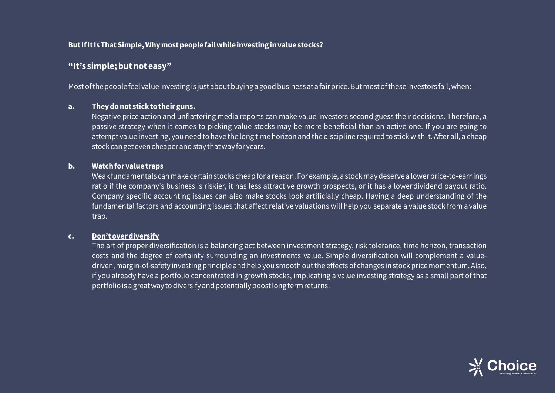#### **But If It Is That Simple, Why most people fail while investing in value stocks?**

# **"It's simple; but not easy"**

Most of the people feel value investing is just about buying a good business at a fair price. But most of these investors fail, when:-

#### **a. They do not stick to their guns.**

 Negative price action and unflattering media reports can make value investors second guess their decisions. Therefore, a passive strategy when it comes to picking value stocks may be more beneficial than an active one. If you are going to attempt value investing, you need to have the long time horizon and the discipline required to stick with it. After all, a cheap stock can get even cheaper and stay that way for years.

#### **b. Watch for value traps**

 Weak fundamentals can make certain stocks cheap for a reason. For example, a stock may deserve a lower price-to-earnings ratio if the company's business is riskier, it has less attractive growth prospects, or it has a lower dividend payout ratio. Company specific accounting issues can also make stocks look artificially cheap. Having a deep understanding of the fundamental factors and accounting issues that affect relative valuations will help you separate a value stock from a value trap.

#### **c. Don't over diversify**

 The art of proper diversification is a balancing act between investment strategy, risk tolerance, time horizon, transaction costs and the degree of certainty surrounding an investments value. Simple diversification will complement a valuedriven, margin-of-safety investing principle and help you smooth out the effects of changes in stock price momentum. Also, if you already have a portfolio concentrated in growth stocks, implicating a value investing strategy as a small part of that portfolio is a great way to diversify and potentially boost long term returns.

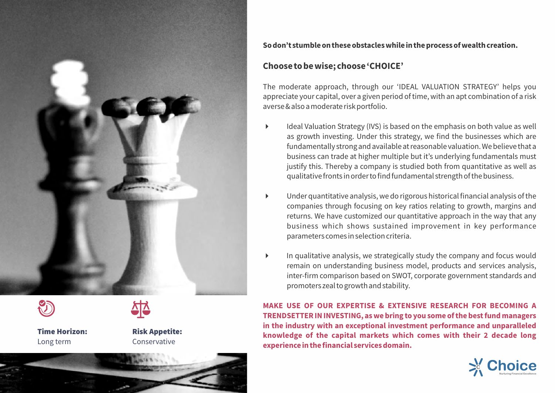



Long term Conservative



**Time Horizon: Risk Appetite:**

#### **So don't stumble on these obstacles while in the process of wealth creation.**

### **Choose to be wise; choose 'CHOICE'**

The moderate approach, through our 'IDEAL VALUATION STRATEGY' helps you appreciate your capital, over a given period of time, with an apt combination of a risk averse & also a moderate risk portfolio.

- Ideal Valuation Strategy (IVS) is based on the emphasis on both value as well as growth investing. Under this strategy, we find the businesses which are fundamentally strong and available at reasonable valuation. We believe that a business can trade at higher multiple but it's underlying fundamentals must justify this. Thereby a company is studied both from quantitative as well as qualitative fronts in order to find fundamental strength of the business.
- 4 Under quantitative analysis, we do rigorous historical financial analysis of the companies through focusing on key ratios relating to growth, margins and returns. We have customized our quantitative approach in the way that any business which shows sustained improvement in key performance parameters comes in selection criteria.
- $\blacktriangleright$  In qualitative analysis, we strategically study the company and focus would remain on understanding business model, products and services analysis, inter-firm comparison based on SWOT, corporate government standards and promoters zeal to growth and stability.

**MAKE USE OF OUR EXPERTISE & EXTENSIVE RESEARCH FOR BECOMING A TRENDSETTER IN INVESTING, as we bring to you some of the best fund managers in the industry with an exceptional investment performance and unparalleled knowledge of the capital markets which comes with their 2 decade long experience in the financial services domain.**

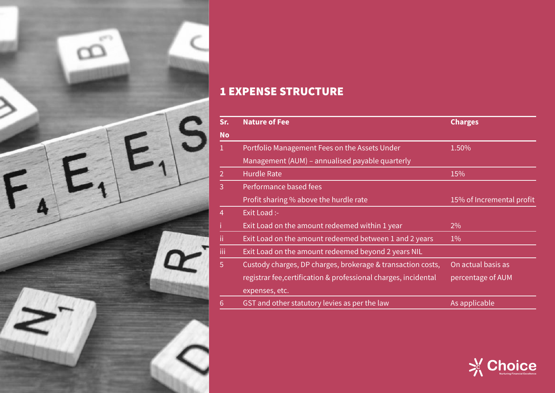

# **1 EXPENSE STRUCTURE**

| Sr.           | <b>Nature of Fee</b>                                            | <b>Charges</b>            |
|---------------|-----------------------------------------------------------------|---------------------------|
| <b>No</b>     |                                                                 |                           |
|               | Portfolio Management Fees on the Assets Under                   | 1.50%                     |
|               | Management (AUM) - annualised payable quarterly                 |                           |
| $\mathcal{P}$ | <b>Hurdle Rate</b>                                              | 15%                       |
| 3             | Performance based fees                                          |                           |
|               | Profit sharing % above the hurdle rate                          | 15% of Incremental profit |
| 4             | Exit Load :-                                                    |                           |
|               | Exit Load on the amount redeemed within 1 year                  | 2%                        |
| Ϊi            | Exit Load on the amount redeemed between 1 and 2 years          | $1\%$                     |
| iii           | Exit Load on the amount redeemed beyond 2 years NIL             |                           |
| 5             | Custody charges, DP charges, brokerage & transaction costs,     | On actual basis as        |
|               | registrar fee, certification & professional charges, incidental | percentage of AUM         |
|               | expenses, etc.                                                  |                           |
| 6             | GST and other statutory levies as per the law                   | As applicable             |